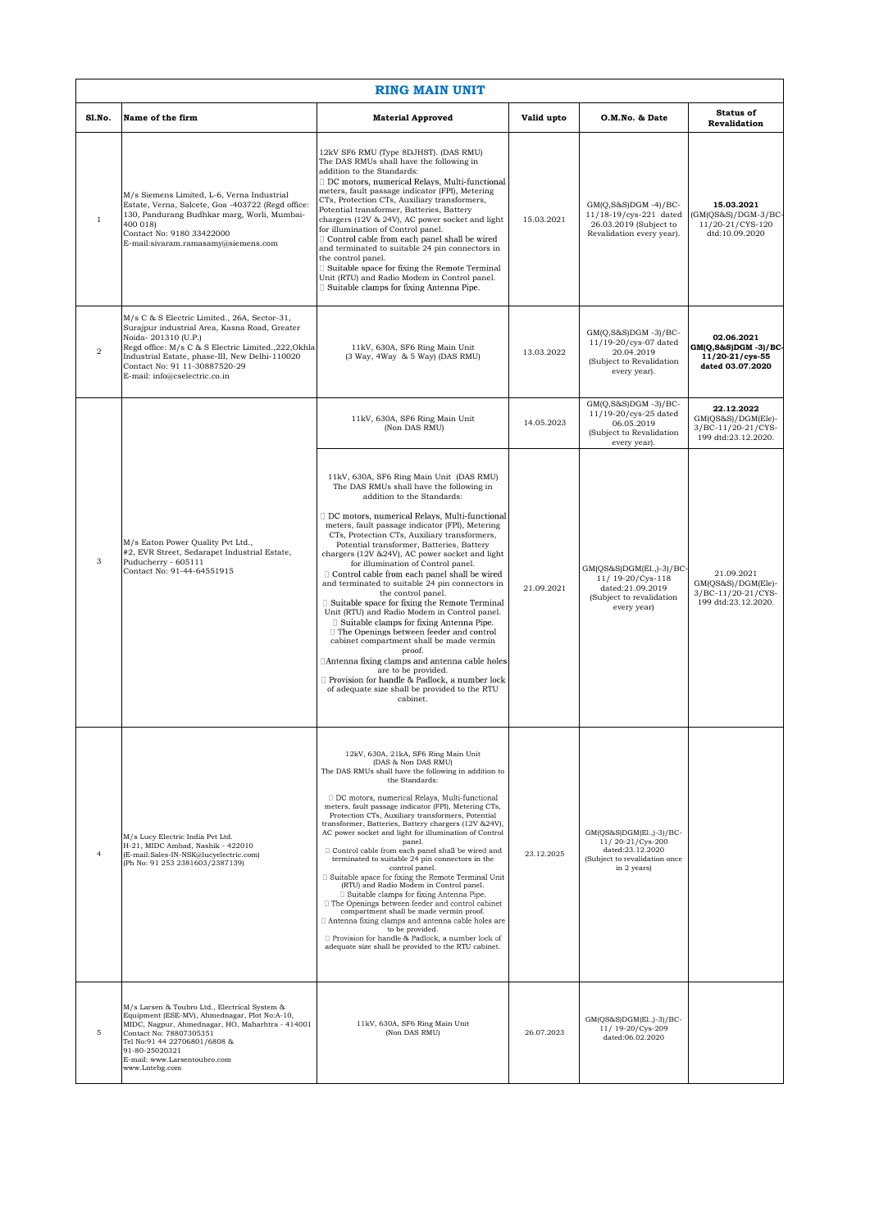| <b>RING MAIN UNIT</b> |                                                                                                                                                                                                                                                                                                  |                                                                                                                                                                                                                                                                                                                                                                                                                                                                                                                                                                                                                                                                                                                                                                                                                                                                                                                                                                                                |            |                                                                                                                  |                                                                                  |  |  |  |
|-----------------------|--------------------------------------------------------------------------------------------------------------------------------------------------------------------------------------------------------------------------------------------------------------------------------------------------|------------------------------------------------------------------------------------------------------------------------------------------------------------------------------------------------------------------------------------------------------------------------------------------------------------------------------------------------------------------------------------------------------------------------------------------------------------------------------------------------------------------------------------------------------------------------------------------------------------------------------------------------------------------------------------------------------------------------------------------------------------------------------------------------------------------------------------------------------------------------------------------------------------------------------------------------------------------------------------------------|------------|------------------------------------------------------------------------------------------------------------------|----------------------------------------------------------------------------------|--|--|--|
| Sl.No.                | Name of the firm                                                                                                                                                                                                                                                                                 | <b>Material Approved</b>                                                                                                                                                                                                                                                                                                                                                                                                                                                                                                                                                                                                                                                                                                                                                                                                                                                                                                                                                                       | Valid upto | O.M.No. & Date                                                                                                   | <b>Status of</b><br><b>Revalidation</b>                                          |  |  |  |
| $\,1\,$               | M/s Siemens Limited, L-6, Verna Industrial<br>Estate, Verna, Salcete, Goa -403722 (Regd office:<br>130, Pandurang Budhkar marg, Worli, Mumbai-<br>400 018)<br>Contact No: 9180 33422000<br>E-mail:sivaram.ramasamy@siemens.com                                                                   | 12kV SF6 RMU (Type 8DJHST). (DAS RMU)<br>The DAS RMUs shall have the following in<br>addition to the Standards:<br>DC motors, numerical Relays, Multi-functional<br>meters, fault passage indicator (FPI), Metering<br>CTs, Protection CTs, Auxiliary transformers,<br>Potential transformer, Batteries, Battery<br>chargers (12V & 24V), AC power socket and light<br>for illumination of Control panel.<br>Control cable from each panel shall be wired<br>and terminated to suitable 24 pin connectors in<br>the control panel.<br>Suitable space for fixing the Remote Terminal<br>Unit (RTU) and Radio Modem in Control panel.<br>Suitable clamps for fixing Antenna Pipe.                                                                                                                                                                                                                                                                                                                | 15.03.2021 | GM(O,S&S)DGM -4)/BC-<br>11/18-19/cys-221 dated<br>26.03.2019 (Subject to<br>Revalidation every year).            | 15.03.2021<br>$(GM(QS&S)/DGM-3/BC$<br>11/20-21/CYS-120<br>dtd:10.09.2020         |  |  |  |
| $\overline{2}$        | M/s C & S Electric Limited., 26A, Sector-31,<br>Surajpur industrial Area, Kasna Road, Greater<br>Noida-201310 (U.P.)<br>Regd office: M/s C & S Electric Limited., 222, Okhla<br>Industrial Estate, phase-III, New Delhi-110020<br>Contact No: 91 11-30887520-29<br>E-mail: info@cselectric.co.in | 11kV, 630A, SF6 Ring Main Unit<br>(3 Way, 4Way & 5 Way) (DAS RMU)                                                                                                                                                                                                                                                                                                                                                                                                                                                                                                                                                                                                                                                                                                                                                                                                                                                                                                                              | 13.03.2022 | $GM(Q, S&S)DGM -3)/BC-$<br>11/19-20/cys-07 dated<br>20.04.2019<br>(Subject to Revalidation<br>every year).       | 02.06.2021<br>GM(Q,S&S)DGM -3)/BC-<br>11/20-21/cys-55<br>dated 03.07.2020        |  |  |  |
| 3                     | M/s Eaton Power Quality Pvt Ltd.,<br>#2, EVR Street, Sedarapet Industrial Estate,<br>Puducherry - 605111<br>Contact No: 91-44-64551915                                                                                                                                                           | 11kV, 630A, SF6 Ring Main Unit<br>(Non DAS RMU)                                                                                                                                                                                                                                                                                                                                                                                                                                                                                                                                                                                                                                                                                                                                                                                                                                                                                                                                                | 14.05.2023 | $GM(Q,S&S)DGM -3)/BC-$<br>11/19-20/cys-25 dated<br>06.05.2019<br>(Subject to Revalidation<br>every year).        | 22.12.2022<br>$GM(QS&S)/DGM(Ele)$ -<br>3/BC-11/20-21/CYS-<br>199 dtd:23.12.2020. |  |  |  |
|                       |                                                                                                                                                                                                                                                                                                  | 11kV, 630A, SF6 Ring Main Unit (DAS RMU)<br>The DAS RMUs shall have the following in<br>addition to the Standards:<br>DC motors, numerical Relays, Multi-functional<br>meters, fault passage indicator (FPI), Metering<br>CTs, Protection CTs, Auxiliary transformers,<br>Potential transformer, Batteries, Battery<br>chargers (12V &24V), AC power socket and light<br>for illumination of Control panel.<br>$\Box$ Control cable from each panel shall be wired<br>and terminated to suitable 24 pin connectors in<br>the control panel.<br>□ Suitable space for fixing the Remote Terminal<br>Unit (RTU) and Radio Modem in Control panel.<br>□ Suitable clamps for fixing Antenna Pipe.<br>$\Box$ The Openings between feeder and control<br>cabinet compartment shall be made vermin<br>proof.<br>∆Antenna fixing clamps and antenna cable holes<br>are to be provided.<br>Provision for handle & Padlock, a number lock<br>of adequate size shall be provided to the RTU<br>cabinet.    | 21.09.2021 | GM(QS&S)DGM(El.,)-3)/BC-<br>11/ 19-20/Cys-118<br>dated:21.09.2019<br>(Subject to revalidation<br>every year)     | 21.09.2021<br>GM(QS&S)/DGM(Ele)-<br>3/BC-11/20-21/CYS-<br>199 dtd:23.12.2020.    |  |  |  |
| $\overline{4}$        | M/s Lucy Electric India Pvt Ltd.<br>H-21, MIDC Ambad, Nashik - 422010<br>(E-mail:Sales-IN-NSK@lucyelectric.com)<br>(Ph No: 91 253 2381603/2387139)                                                                                                                                               | 12kV, 630A, 21kA, SF6 Ring Main Unit<br>(DAS & Non DAS RMU)<br>The DAS RMUs shall have the following in addition to<br>the Standards:<br>DC motors, numerical Relays, Multi-functional<br>meters, fault passage indicator (FPI), Metering CTs,<br>Protection CTs, Auxiliary transformers, Potential<br>transformer, Batteries, Battery chargers (12V & 24V),<br>AC power socket and light for illumination of Control<br>panel.<br>Control cable from each panel shall be wired and<br>terminated to suitable 24 pin connectors in the<br>control panel.<br>□ Suitable space for fixing the Remote Terminal Unit<br>(RTU) and Radio Modem in Control panel.<br>□ Suitable clamps for fixing Antenna Pipe.<br>□ The Openings between feeder and control cabinet<br>compartment shall be made vermin proof.<br>Antenna fixing clamps and antenna cable holes are<br>to be provided.<br>□ Provision for handle & Padlock, a number lock of<br>adequate size shall be provided to the RTU cabinet. | 23.12.2025 | GM(QS&S)DGM(El.,)-3)/BC-<br>11/20-21/Cys-200<br>dated:23.12.2020<br>(Subject to revalidation once<br>in 2 years) |                                                                                  |  |  |  |
| 5                     | M/s Larsen & Toubro Ltd., Electrical System &<br>Equipment (ESE-MV), Ahmednagar, Plot No:A-10,<br>MIDC, Nagpur, Ahmednagar, HO, Maharhtra - 414001<br>Contact No: 78807305351<br>Tel No:91 44 22706801/6808 &<br>91-80-25020321<br>E-mail: www.Larsentoubro.com<br>www.Lntebg.com                | 11kV, 630A, SF6 Ring Main Unit<br>(Non DAS RMU)                                                                                                                                                                                                                                                                                                                                                                                                                                                                                                                                                                                                                                                                                                                                                                                                                                                                                                                                                | 26.07.2023 | GM(QS&S)DGM(El.,)-3)/BC-<br>11/19-20/Cys-209<br>dated:06.02.2020                                                 |                                                                                  |  |  |  |